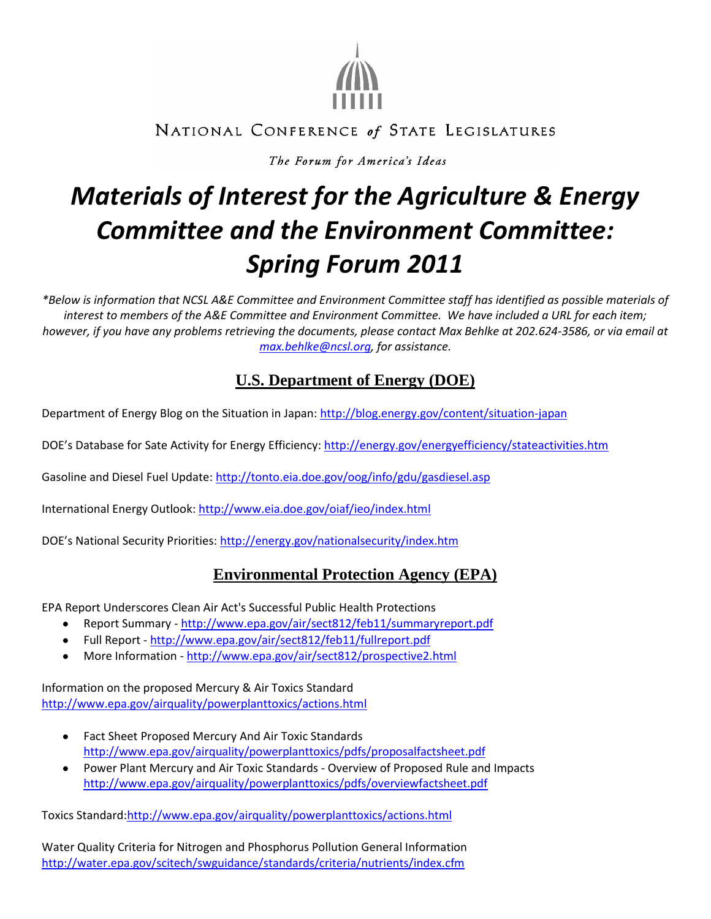

# NATIONAL CONFERENCE of STATE LEGISLATURES

The Forum for America's Ideas

# *Materials of Interest for the Agriculture & Energy Committee and the Environment Committee: Spring Forum 2011*

*\*Below is information that NCSL A&E Committee and Environment Committee staff has identified as possible materials of interest to members of the A&E Committee and Environment Committee. We have included a URL for each item; however, if you have any problems retrieving the documents, please contact Max Behlke at 202.624-3586, or via email at [max.behlke@ncsl.org,](mailto:max.behlke@ncsl.org) for assistance.*

# **U.S. Department of Energy (DOE)**

Department of Energy Blog on the Situation in Japan[: http://blog.energy.gov/content/situation-japan](http://blog.energy.gov/content/situation-japan)

DOE's Database for Sate Activity for Energy Efficiency:<http://energy.gov/energyefficiency/stateactivities.htm>

Gasoline and Diesel Fuel Update:<http://tonto.eia.doe.gov/oog/info/gdu/gasdiesel.asp>

International Energy Outlook:<http://www.eia.doe.gov/oiaf/ieo/index.html>

DOE's National Security Priorities: <http://energy.gov/nationalsecurity/index.htm>

### **Environmental Protection Agency (EPA)**

EPA Report Underscores Clean Air Act's Successful Public Health Protections

- Report Summary <http://www.epa.gov/air/sect812/feb11/summaryreport.pdf>
- Full Report <http://www.epa.gov/air/sect812/feb11/fullreport.pdf>
- More Information <http://www.epa.gov/air/sect812/prospective2.html>

Information on the proposed Mercury & Air Toxics Standard <http://www.epa.gov/airquality/powerplanttoxics/actions.html>

- Fact Sheet Proposed Mercury And Air Toxic Standards  $\bullet$ <http://www.epa.gov/airquality/powerplanttoxics/pdfs/proposalfactsheet.pdf>
- Power Plant Mercury and Air Toxic Standards Overview of Proposed Rule and Impacts <http://www.epa.gov/airquality/powerplanttoxics/pdfs/overviewfactsheet.pdf>

Toxics Standard[:http://www.epa.gov/airquality/powerplanttoxics/actions.html](http://www.epa.gov/airquality/powerplanttoxics/actions.html)

Water Quality Criteria for Nitrogen and Phosphorus Pollution General Information <http://water.epa.gov/scitech/swguidance/standards/criteria/nutrients/index.cfm>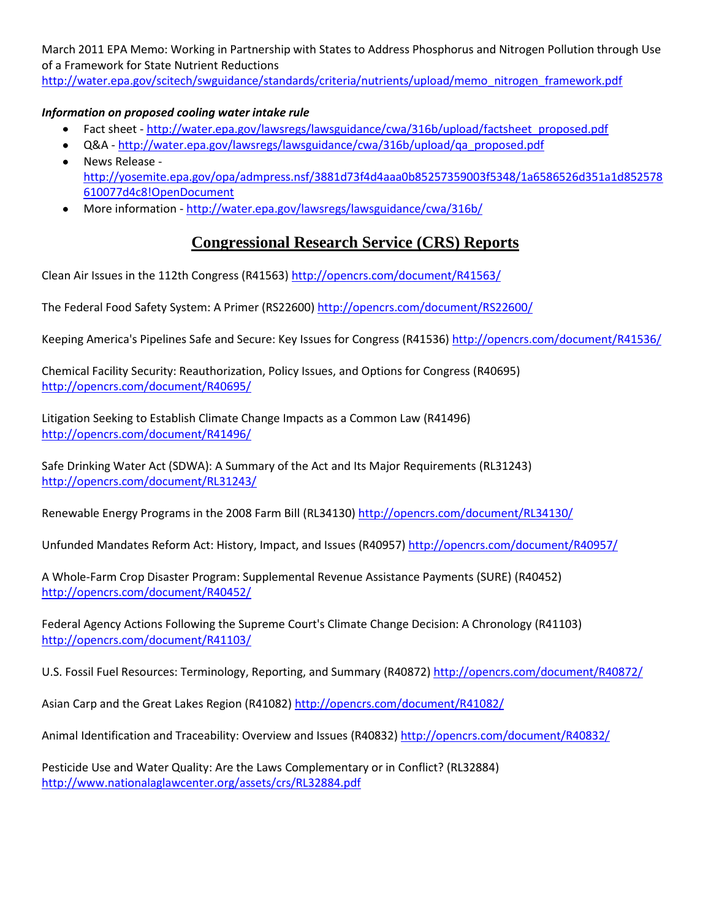March 2011 EPA Memo: Working in Partnership with States to Address Phosphorus and Nitrogen Pollution through Use of a Framework for State Nutrient Reductions

[http://water.epa.gov/scitech/swguidance/standards/criteria/nutrients/upload/memo\\_nitrogen\\_framework.pdf](http://water.epa.gov/scitech/swguidance/standards/criteria/nutrients/upload/memo_nitrogen_framework.pdf)

#### *Information on proposed cooling water intake rule*

- Fact sheet [http://water.epa.gov/lawsregs/lawsguidance/cwa/316b/upload/factsheet\\_proposed.pdf](http://water.epa.gov/lawsregs/lawsguidance/cwa/316b/upload/factsheet_proposed.pdf)
- Q&A [http://water.epa.gov/lawsregs/lawsguidance/cwa/316b/upload/qa\\_proposed.pdf](http://water.epa.gov/lawsregs/lawsguidance/cwa/316b/upload/qa_proposed.pdf)
- News Release [http://yosemite.epa.gov/opa/admpress.nsf/3881d73f4d4aaa0b85257359003f5348/1a6586526d351a1d852578](http://yosemite.epa.gov/opa/admpress.nsf/3881d73f4d4aaa0b85257359003f5348/1a6586526d351a1d852578610077d4c8!OpenDocument) [610077d4c8!OpenDocument](http://yosemite.epa.gov/opa/admpress.nsf/3881d73f4d4aaa0b85257359003f5348/1a6586526d351a1d852578610077d4c8!OpenDocument)
- More information <http://water.epa.gov/lawsregs/lawsguidance/cwa/316b/>  $\bullet$

#### **Congressional Research Service (CRS) Reports**

Clean Air Issues in the 112th Congress (R41563)<http://opencrs.com/document/R41563/>

The Federal Food Safety System: A Primer (RS22600) <http://opencrs.com/document/RS22600/>

Keeping America's Pipelines Safe and Secure: Key Issues for Congress (R41536) <http://opencrs.com/document/R41536/>

Chemical Facility Security: Reauthorization, Policy Issues, and Options for Congress (R40695) <http://opencrs.com/document/R40695/>

Litigation Seeking to Establish Climate Change Impacts as a Common Law (R41496) <http://opencrs.com/document/R41496/>

Safe Drinking Water Act (SDWA): A Summary of the Act and Its Major Requirements (RL31243) <http://opencrs.com/document/RL31243/>

Renewable Energy Programs in the 2008 Farm Bill (RL34130[\) http://opencrs.com/document/RL34130/](http://opencrs.com/document/RL34130/)

Unfunded Mandates Reform Act: History, Impact, and Issues (R40957[\) http://opencrs.com/document/R40957/](http://opencrs.com/document/R40957/)

A Whole-Farm Crop Disaster Program: Supplemental Revenue Assistance Payments (SURE) (R40452) <http://opencrs.com/document/R40452/>

Federal Agency Actions Following the Supreme Court's Climate Change Decision: A Chronology (R41103) <http://opencrs.com/document/R41103/>

U.S. Fossil Fuel Resources: Terminology, Reporting, and Summary (R40872)<http://opencrs.com/document/R40872/>

Asian Carp and the Great Lakes Region (R41082)<http://opencrs.com/document/R41082/>

Animal Identification and Traceability: Overview and Issues (R40832) <http://opencrs.com/document/R40832/>

Pesticide Use and Water Quality: Are the Laws Complementary or in Conflict? (RL32884) <http://www.nationalaglawcenter.org/assets/crs/RL32884.pdf>